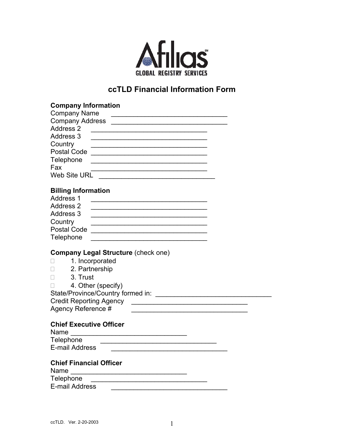

## **ccTLD Financial Information Form**

| <b>Company Information</b>                                                                                                                                   |
|--------------------------------------------------------------------------------------------------------------------------------------------------------------|
| <b>Company Name</b><br><u> 1989 - Johann John Stone, mensk politik (d. 1989)</u>                                                                             |
|                                                                                                                                                              |
| Address 2<br><u> 1989 - Johann Barbara, martin amerikan basal dan berasal dan berasal dalam basal dalam basal dalam basal dala</u>                           |
| <b>Address 3</b>                                                                                                                                             |
| Country<br><u> 1989 - Johann Barbara, martin amerikan basar dan berasal dalam basa dalam basar dalam basar dalam basar dala</u>                              |
|                                                                                                                                                              |
| Telephone<br><u> 1989 - Johann Barbara, martxa alemaniar arg</u>                                                                                             |
| Fax                                                                                                                                                          |
|                                                                                                                                                              |
|                                                                                                                                                              |
| <b>Billing Information</b>                                                                                                                                   |
| <b>Address 1</b>                                                                                                                                             |
| <b>Address 2</b>                                                                                                                                             |
| Address 3                                                                                                                                                    |
| Country                                                                                                                                                      |
| Postal Code <u>__________________________________</u>                                                                                                        |
| Telephone                                                                                                                                                    |
| <b>Company Legal Structure (check one)</b><br>1. Incorporated<br>П<br>2. Partnership<br>П<br>3. Trust<br>П.<br>4. Other (specify)<br>П<br>Agency Reference # |
| <b>Chief Executive Officer</b><br>Name                                                                                                                       |
| Telephone<br><u> 1989 - Johann Barbara, martxa alemaniar arg</u>                                                                                             |
| E-mail Address                                                                                                                                               |
| <b>Chief Financial Officer</b><br>Name                                                                                                                       |
| Telephone<br><b>E-mail Address</b>                                                                                                                           |